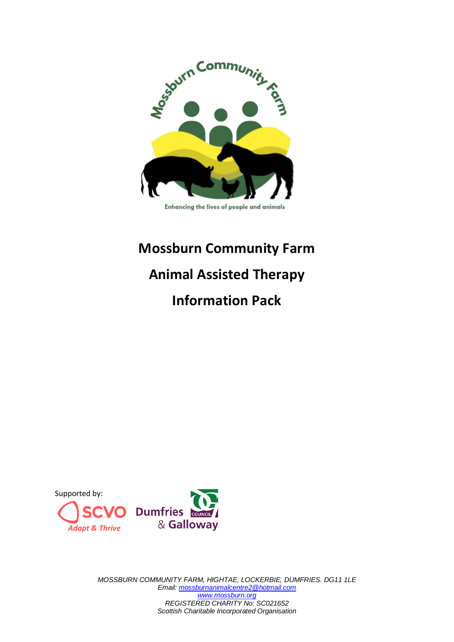

#### Enhancing the lives of people and animals

# **Mossburn Community Farm Animal Assisted Therapy Information Pack**



*MOSSBURN COMMUNITY FARM, HIGHTAE, LOCKERBIE, DUMFRIES. DG11 1LE Email[: mossburnanimalcentre2@hotmail.com](mailto:mossburnanimalcentre2@hotmail.com) [www.mossburn.org](http://www.mossburn.org/) REGISTERED CHARITY No: SC021652 Scottish Charitable Incorporated Organisation*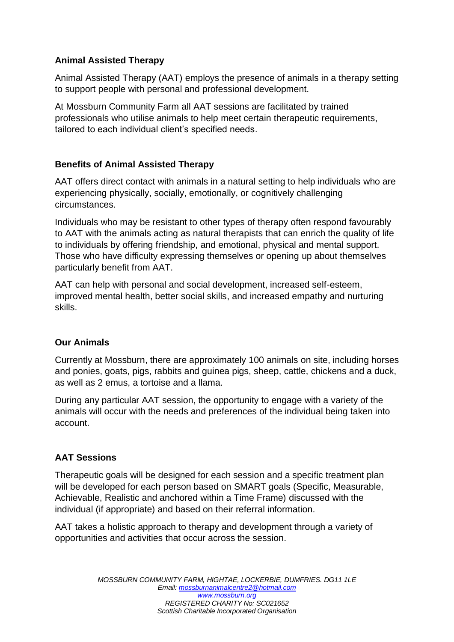# **Animal Assisted Therapy**

Animal Assisted Therapy (AAT) employs the presence of animals in a therapy setting to support people with personal and professional development.

At Mossburn Community Farm all AAT sessions are facilitated by trained professionals who utilise animals to help meet certain therapeutic requirements, tailored to each individual client's specified needs.

# **Benefits of Animal Assisted Therapy**

AAT offers direct contact with animals in a natural setting to help individuals who are experiencing physically, socially, emotionally, or cognitively challenging circumstances.

Individuals who may be resistant to other types of therapy often respond favourably to AAT with the animals acting as natural therapists that can enrich the quality of life to individuals by offering friendship, and emotional, physical and mental support. Those who have difficulty expressing themselves or opening up about themselves particularly benefit from AAT.

AAT can help with personal and social development, increased self-esteem, improved mental health, better social skills, and increased empathy and nurturing skills.

## **Our Animals**

Currently at Mossburn, there are approximately 100 animals on site, including horses and ponies, goats, pigs, rabbits and guinea pigs, sheep, cattle, chickens and a duck, as well as 2 emus, a tortoise and a llama.

During any particular AAT session, the opportunity to engage with a variety of the animals will occur with the needs and preferences of the individual being taken into account.

## **AAT Sessions**

Therapeutic goals will be designed for each session and a specific treatment plan will be developed for each person based on SMART goals (Specific, Measurable, Achievable, Realistic and anchored within a Time Frame) discussed with the individual (if appropriate) and based on their referral information.

AAT takes a holistic approach to therapy and development through a variety of opportunities and activities that occur across the session.